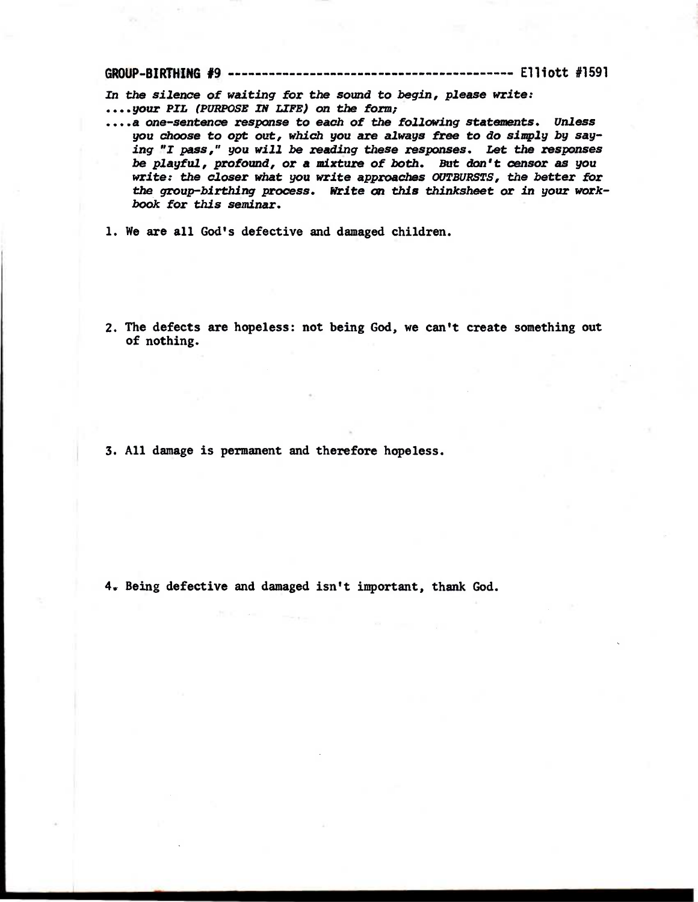**GROUP-BIRTHING #9 Elliott #1591** 

In the silence of waiting for the sound to begin, please write: **....your PIL (Pimpose IN LIFE) on the fbrm;** 

- **....a one-sentence response to each of the following statements. Unless you choose to cvt out, which you are always free to do simply by saying "I pass," you will be reading these responses. Let the responses be playful, profbund, or a mixture of both. But don't censor as you write: the closer what you write approaches OUTBURSTS, the better for the group-birthing process. Write on this thinksheet or in your workbook for this seminar.**
- **1. We are all God's defective and damaged children.**
- **2.The defects are hopeless: not being God, we can't create something out of nothing.**

**3. All damage is permanent and therefore hopeless.** 

**4. Being defective and damaged isn't important, thank God.**